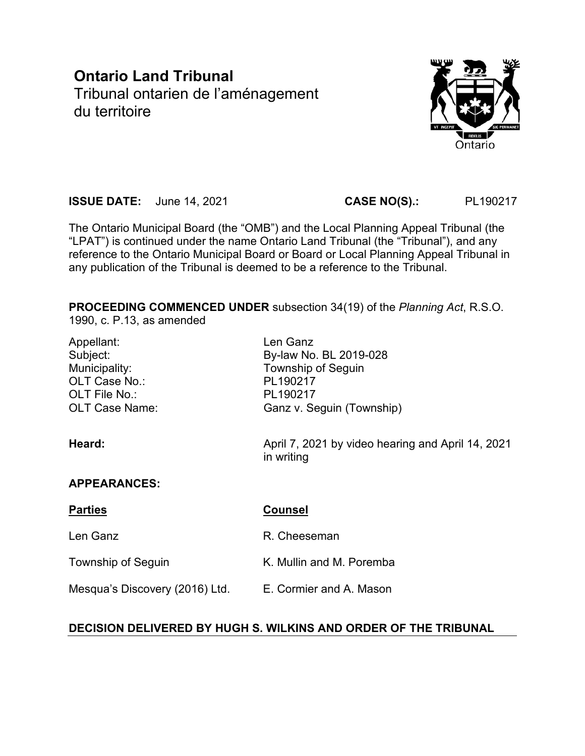# **Ontario Land Tribunal** Tribunal ontarien de l'aménagement du territoire



**ISSUE DATE:** June 14, 2021 **CASE NO(S).:** PL190217

The Ontario Municipal Board (the "OMB") and the Local Planning Appeal Tribunal (the "LPAT") is continued under the name Ontario Land Tribunal (the "Tribunal"), and any reference to the Ontario Municipal Board or Board or Local Planning Appeal Tribunal in any publication of the Tribunal is deemed to be a reference to the Tribunal.

**PROCEEDING COMMENCED UNDER** subsection 34(19) of the *Planning Act*, R.S.O.

1990, c. P.13, as amended

| Appellant:<br>Subject:<br>Municipality:<br>OLT Case No.:<br>OLT File No.:<br><b>OLT Case Name:</b> | Len Ganz<br>By-law No. BL 2019-028<br><b>Township of Seguin</b><br>PL190217<br>PL190217<br>Ganz v. Seguin (Township) |
|----------------------------------------------------------------------------------------------------|----------------------------------------------------------------------------------------------------------------------|
| Heard:                                                                                             | April 7, 2021 by video hearing and April 14, 2021<br>in writing                                                      |
| <b>APPEARANCES:</b>                                                                                |                                                                                                                      |
| <b>Parties</b>                                                                                     | <b>Counsel</b>                                                                                                       |
| Len Ganz                                                                                           | R. Cheeseman                                                                                                         |
| <b>Township of Seguin</b>                                                                          | K. Mullin and M. Poremba                                                                                             |
| Mesqua's Discovery (2016) Ltd.                                                                     | E. Cormier and A. Mason                                                                                              |

# **DECISION DELIVERED BY HUGH S. WILKINS AND ORDER OF THE TRIBUNAL**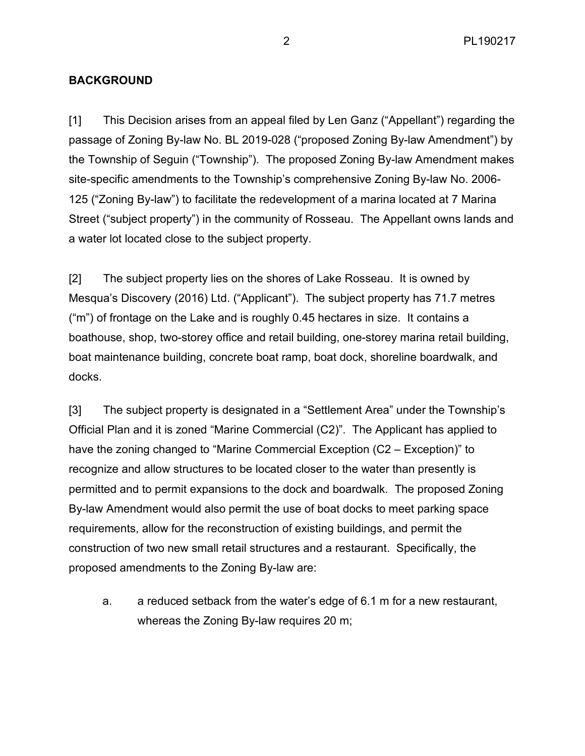# **BACKGROUND**

[1] This Decision arises from an appeal filed by Len Ganz ("Appellant") regarding the passage of Zoning By-law No. BL 2019-028 ("proposed Zoning By-law Amendment") by the Township of Seguin ("Township"). The proposed Zoning By-law Amendment makes site-specific amendments to the Township's comprehensive Zoning By-law No. 2006- 125 ("Zoning By-law") to facilitate the redevelopment of a marina located at 7 Marina Street ("subject property") in the community of Rosseau. The Appellant owns lands and a water lot located close to the subject property.

[2] The subject property lies on the shores of Lake Rosseau. It is owned by Mesqua's Discovery (2016) Ltd. ("Applicant"). The subject property has 71.7 metres ("m") of frontage on the Lake and is roughly 0.45 hectares in size. It contains a boathouse, shop, two-storey office and retail building, one-storey marina retail building, boat maintenance building, concrete boat ramp, boat dock, shoreline boardwalk, and docks.

[3] The subject property is designated in a "Settlement Area" under the Township's Official Plan and it is zoned "Marine Commercial (C2)". The Applicant has applied to have the zoning changed to "Marine Commercial Exception (C2 – Exception)" to recognize and allow structures to be located closer to the water than presently is permitted and to permit expansions to the dock and boardwalk. The proposed Zoning By-law Amendment would also permit the use of boat docks to meet parking space requirements, allow for the reconstruction of existing buildings, and permit the construction of two new small retail structures and a restaurant. Specifically, the proposed amendments to the Zoning By-law are:

a. a reduced setback from the water's edge of 6.1 m for a new restaurant, whereas the Zoning By-law requires 20 m;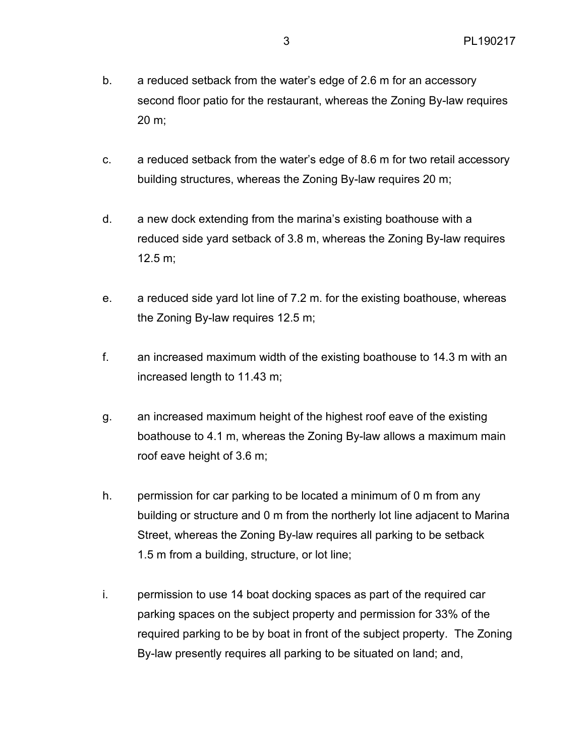- b. a reduced setback from the water's edge of 2.6 m for an accessory second floor patio for the restaurant, whereas the Zoning By-law requires 20 m;
- c. a reduced setback from the water's edge of 8.6 m for two retail accessory building structures, whereas the Zoning By-law requires 20 m;
- d. a new dock extending from the marina's existing boathouse with a reduced side yard setback of 3.8 m, whereas the Zoning By-law requires 12.5 m;
- e. a reduced side yard lot line of 7.2 m. for the existing boathouse, whereas the Zoning By-law requires 12.5 m;
- f. an increased maximum width of the existing boathouse to 14.3 m with an increased length to 11.43 m;
- g. an increased maximum height of the highest roof eave of the existing boathouse to 4.1 m, whereas the Zoning By-law allows a maximum main roof eave height of 3.6 m;
- h. permission for car parking to be located a minimum of 0 m from any building or structure and 0 m from the northerly lot line adjacent to Marina Street, whereas the Zoning By-law requires all parking to be setback 1.5 m from a building, structure, or lot line;
- i. permission to use 14 boat docking spaces as part of the required car parking spaces on the subject property and permission for 33% of the required parking to be by boat in front of the subject property. The Zoning By-law presently requires all parking to be situated on land; and,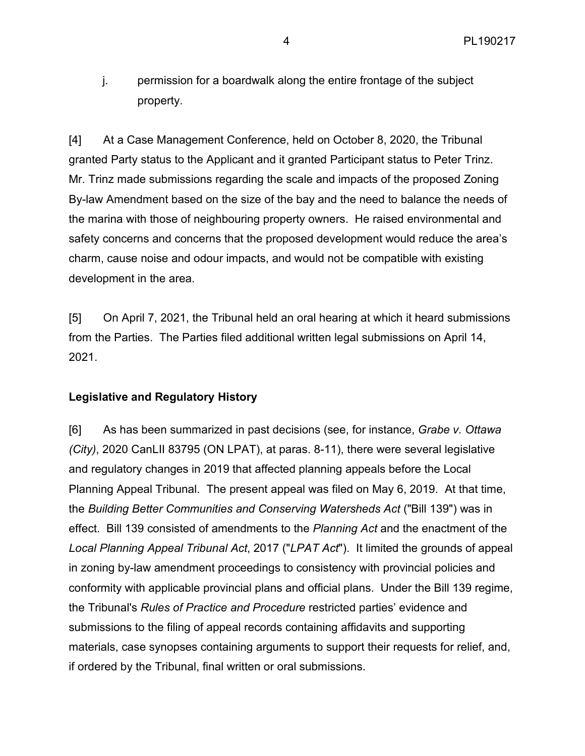j. permission for a boardwalk along the entire frontage of the subject property.

[4] At a Case Management Conference, held on October 8, 2020, the Tribunal granted Party status to the Applicant and it granted Participant status to Peter Trinz. Mr. Trinz made submissions regarding the scale and impacts of the proposed Zoning By-law Amendment based on the size of the bay and the need to balance the needs of the marina with those of neighbouring property owners. He raised environmental and safety concerns and concerns that the proposed development would reduce the area's charm, cause noise and odour impacts, and would not be compatible with existing development in the area.

[5] On April 7, 2021, the Tribunal held an oral hearing at which it heard submissions from the Parties. The Parties filed additional written legal submissions on April 14, 2021.

#### **Legislative and Regulatory History**

[6] As has been summarized in past decisions (see, for instance, *Grabe v. Ottawa (City)*, 2020 CanLII 83795 (ON LPAT), at paras. 8-11), there were several legislative and regulatory changes in 2019 that affected planning appeals before the Local Planning Appeal Tribunal. The present appeal was filed on May 6, 2019. At that time, the *Building Better Communities and Conserving Watersheds Act* ("Bill 139") was in effect. Bill 139 consisted of amendments to the *Planning Act* and the enactment of the *Local Planning Appeal Tribunal Act*, 2017 ("*LPAT Act*"). It limited the grounds of appeal in zoning by-law amendment proceedings to consistency with provincial policies and conformity with applicable provincial plans and official plans. Under the Bill 139 regime, the Tribunal's *Rules of Practice and Procedure* restricted parties' evidence and submissions to the filing of appeal records containing affidavits and supporting materials, case synopses containing arguments to support their requests for relief, and, if ordered by the Tribunal, final written or oral submissions.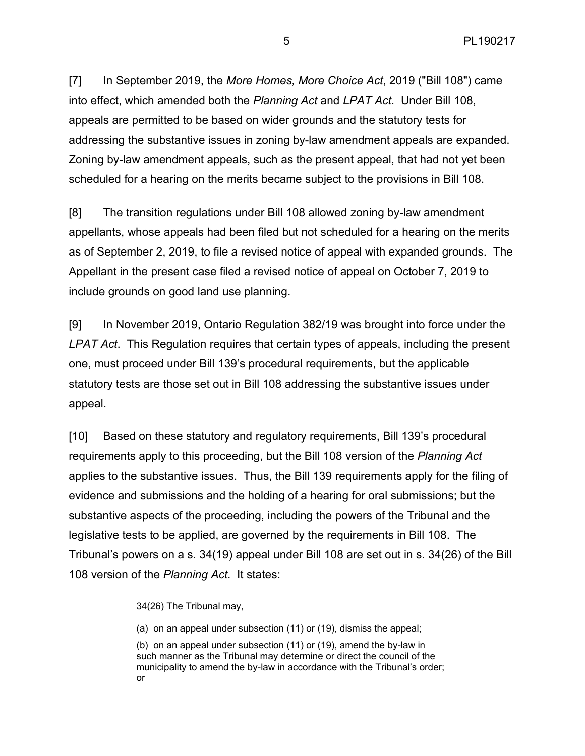[7] In September 2019, the *More Homes, More Choice Act*, 2019 ("Bill 108") came into effect, which amended both the *Planning Act* and *LPAT Act*. Under Bill 108, appeals are permitted to be based on wider grounds and the statutory tests for addressing the substantive issues in zoning by-law amendment appeals are expanded. Zoning by-law amendment appeals, such as the present appeal, that had not yet been scheduled for a hearing on the merits became subject to the provisions in Bill 108.

[8] The transition regulations under Bill 108 allowed zoning by-law amendment appellants, whose appeals had been filed but not scheduled for a hearing on the merits as of September 2, 2019, to file a revised notice of appeal with expanded grounds. The Appellant in the present case filed a revised notice of appeal on October 7, 2019 to include grounds on good land use planning.

[9] In November 2019, Ontario Regulation 382/19 was brought into force under the *LPAT Act*. This Regulation requires that certain types of appeals, including the present one, must proceed under Bill 139's procedural requirements, but the applicable statutory tests are those set out in Bill 108 addressing the substantive issues under appeal.

[10] Based on these statutory and regulatory requirements, Bill 139's procedural requirements apply to this proceeding, but the Bill 108 version of the *Planning Act*  applies to the substantive issues. Thus, the Bill 139 requirements apply for the filing of evidence and submissions and the holding of a hearing for oral submissions; but the substantive aspects of the proceeding, including the powers of the Tribunal and the legislative tests to be applied, are governed by the requirements in Bill 108. The Tribunal's powers on a s. 34(19) appeal under Bill 108 are set out in s. 34(26) of the Bill 108 version of the *Planning Act*. It states:

34(26) The Tribunal may,

(a) on an appeal under subsection (11) or (19), dismiss the appeal;

(b) on an appeal under subsection (11) or (19), amend the by-law in such manner as the Tribunal may determine or direct the council of the municipality to amend the by-law in accordance with the Tribunal's order; or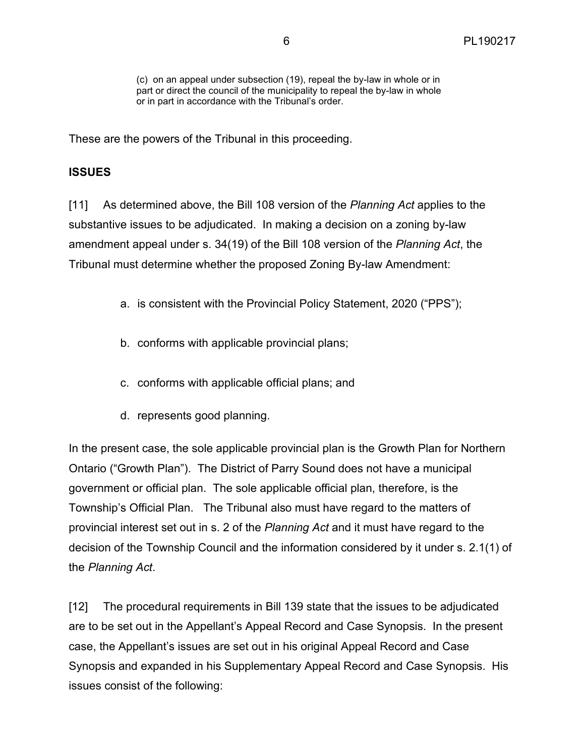These are the powers of the Tribunal in this proceeding.

# **ISSUES**

[11] As determined above, the Bill 108 version of the *Planning Act* applies to the substantive issues to be adjudicated. In making a decision on a zoning by-law amendment appeal under s. 34(19) of the Bill 108 version of the *Planning Act*, the Tribunal must determine whether the proposed Zoning By-law Amendment:

- a. is consistent with the Provincial Policy Statement, 2020 ("PPS");
- b. conforms with applicable provincial plans;
- c. conforms with applicable official plans; and
- d. represents good planning.

In the present case, the sole applicable provincial plan is the Growth Plan for Northern Ontario ("Growth Plan"). The District of Parry Sound does not have a municipal government or official plan. The sole applicable official plan, therefore, is the Township's Official Plan. The Tribunal also must have regard to the matters of provincial interest set out in s. 2 of the *Planning Act* and it must have regard to the decision of the Township Council and the information considered by it under s. 2.1(1) of the *Planning Act*.

[12] The procedural requirements in Bill 139 state that the issues to be adjudicated are to be set out in the Appellant's Appeal Record and Case Synopsis. In the present case, the Appellant's issues are set out in his original Appeal Record and Case Synopsis and expanded in his Supplementary Appeal Record and Case Synopsis. His issues consist of the following: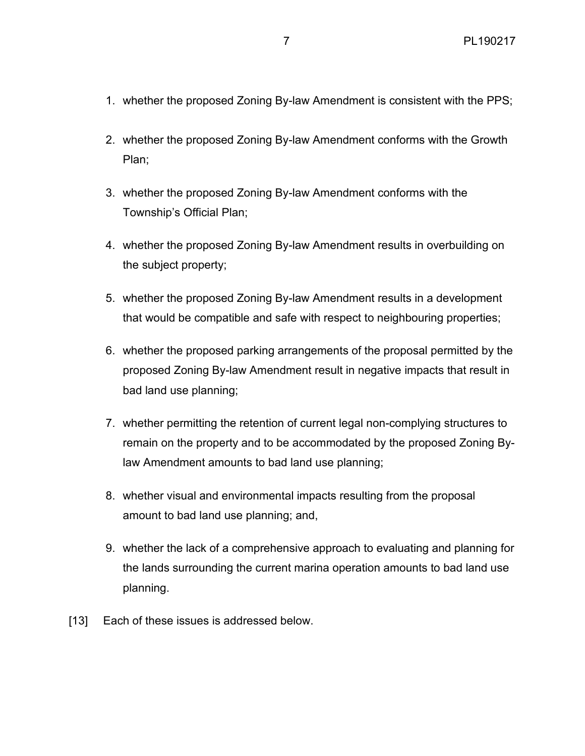- 1. whether the proposed Zoning By-law Amendment is consistent with the PPS;
- 2. whether the proposed Zoning By-law Amendment conforms with the Growth Plan;
- 3. whether the proposed Zoning By-law Amendment conforms with the Township's Official Plan;
- 4. whether the proposed Zoning By-law Amendment results in overbuilding on the subject property;
- 5. whether the proposed Zoning By-law Amendment results in a development that would be compatible and safe with respect to neighbouring properties;
- 6. whether the proposed parking arrangements of the proposal permitted by the proposed Zoning By-law Amendment result in negative impacts that result in bad land use planning;
- 7. whether permitting the retention of current legal non-complying structures to remain on the property and to be accommodated by the proposed Zoning Bylaw Amendment amounts to bad land use planning;
- 8. whether visual and environmental impacts resulting from the proposal amount to bad land use planning; and,
- 9. whether the lack of a comprehensive approach to evaluating and planning for the lands surrounding the current marina operation amounts to bad land use planning.
- [13] Each of these issues is addressed below.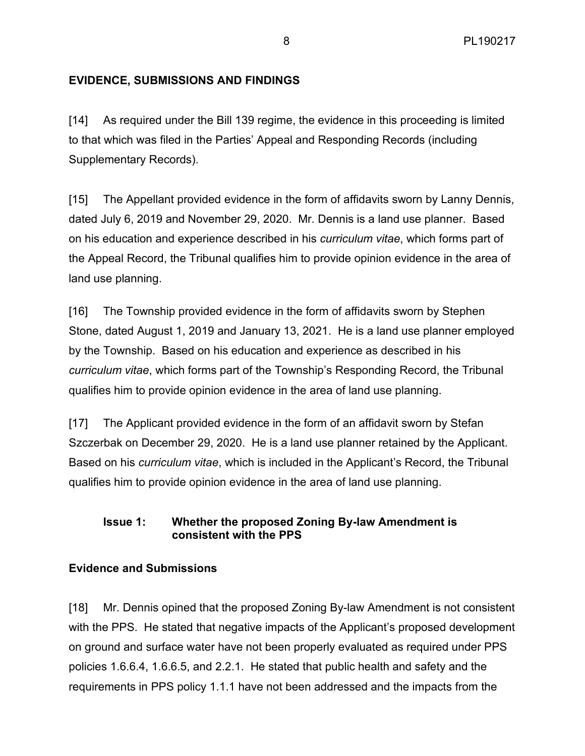# **EVIDENCE, SUBMISSIONS AND FINDINGS**

[14] As required under the Bill 139 regime, the evidence in this proceeding is limited to that which was filed in the Parties' Appeal and Responding Records (including Supplementary Records).

[15] The Appellant provided evidence in the form of affidavits sworn by Lanny Dennis, dated July 6, 2019 and November 29, 2020. Mr. Dennis is a land use planner. Based on his education and experience described in his *curriculum vitae*, which forms part of the Appeal Record, the Tribunal qualifies him to provide opinion evidence in the area of land use planning.

[16] The Township provided evidence in the form of affidavits sworn by Stephen Stone, dated August 1, 2019 and January 13, 2021. He is a land use planner employed by the Township. Based on his education and experience as described in his *curriculum vitae*, which forms part of the Township's Responding Record, the Tribunal qualifies him to provide opinion evidence in the area of land use planning.

[17] The Applicant provided evidence in the form of an affidavit sworn by Stefan Szczerbak on December 29, 2020. He is a land use planner retained by the Applicant. Based on his *curriculum vitae*, which is included in the Applicant's Record, the Tribunal qualifies him to provide opinion evidence in the area of land use planning.

# **Issue 1: Whether the proposed Zoning By-law Amendment is consistent with the PPS**

# **Evidence and Submissions**

[18] Mr. Dennis opined that the proposed Zoning By-law Amendment is not consistent with the PPS. He stated that negative impacts of the Applicant's proposed development on ground and surface water have not been properly evaluated as required under PPS policies 1.6.6.4, 1.6.6.5, and 2.2.1. He stated that public health and safety and the requirements in PPS policy 1.1.1 have not been addressed and the impacts from the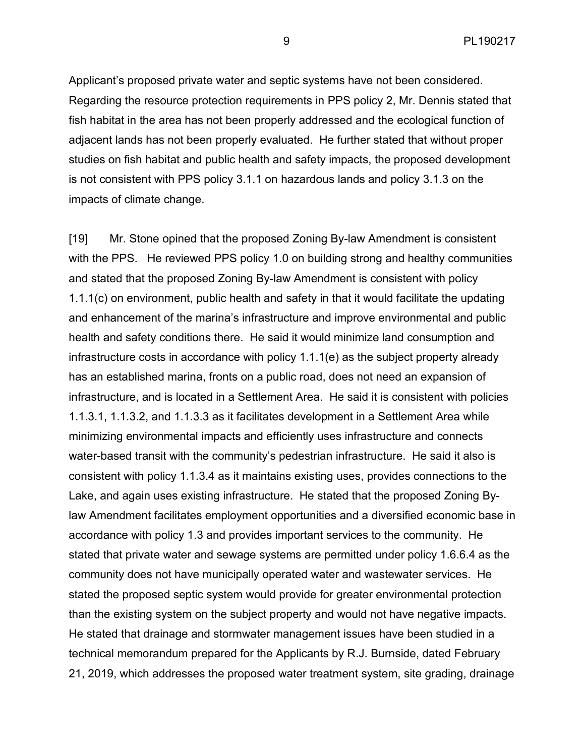Applicant's proposed private water and septic systems have not been considered. Regarding the resource protection requirements in PPS policy 2, Mr. Dennis stated that fish habitat in the area has not been properly addressed and the ecological function of adjacent lands has not been properly evaluated. He further stated that without proper studies on fish habitat and public health and safety impacts, the proposed development is not consistent with PPS policy 3.1.1 on hazardous lands and policy 3.1.3 on the impacts of climate change.

[19] Mr. Stone opined that the proposed Zoning By-law Amendment is consistent with the PPS. He reviewed PPS policy 1.0 on building strong and healthy communities and stated that the proposed Zoning By-law Amendment is consistent with policy 1.1.1(c) on environment, public health and safety in that it would facilitate the updating and enhancement of the marina's infrastructure and improve environmental and public health and safety conditions there. He said it would minimize land consumption and infrastructure costs in accordance with policy 1.1.1(e) as the subject property already has an established marina, fronts on a public road, does not need an expansion of infrastructure, and is located in a Settlement Area. He said it is consistent with policies 1.1.3.1, 1.1.3.2, and 1.1.3.3 as it facilitates development in a Settlement Area while minimizing environmental impacts and efficiently uses infrastructure and connects water-based transit with the community's pedestrian infrastructure. He said it also is consistent with policy 1.1.3.4 as it maintains existing uses, provides connections to the Lake, and again uses existing infrastructure. He stated that the proposed Zoning Bylaw Amendment facilitates employment opportunities and a diversified economic base in accordance with policy 1.3 and provides important services to the community. He stated that private water and sewage systems are permitted under policy 1.6.6.4 as the community does not have municipally operated water and wastewater services. He stated the proposed septic system would provide for greater environmental protection than the existing system on the subject property and would not have negative impacts. He stated that drainage and stormwater management issues have been studied in a technical memorandum prepared for the Applicants by R.J. Burnside, dated February 21, 2019, which addresses the proposed water treatment system, site grading, drainage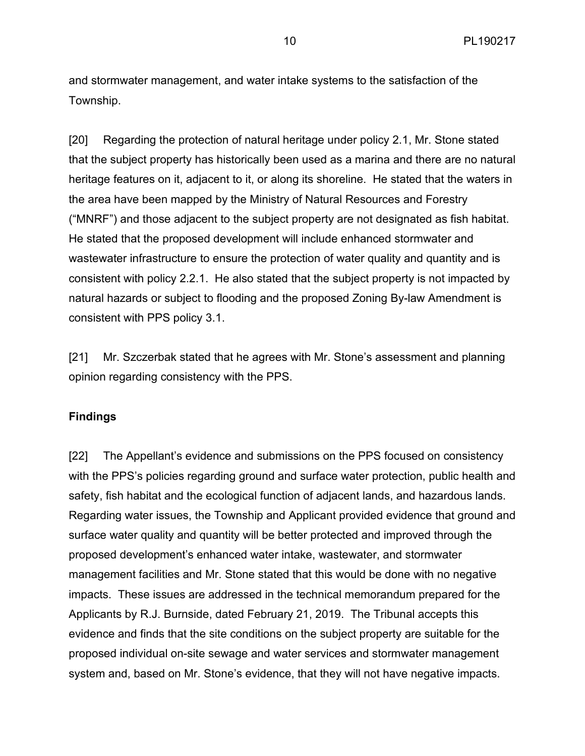and stormwater management, and water intake systems to the satisfaction of the Township.

[20] Regarding the protection of natural heritage under policy 2.1, Mr. Stone stated that the subject property has historically been used as a marina and there are no natural heritage features on it, adjacent to it, or along its shoreline. He stated that the waters in the area have been mapped by the Ministry of Natural Resources and Forestry ("MNRF") and those adjacent to the subject property are not designated as fish habitat. He stated that the proposed development will include enhanced stormwater and wastewater infrastructure to ensure the protection of water quality and quantity and is consistent with policy 2.2.1. He also stated that the subject property is not impacted by natural hazards or subject to flooding and the proposed Zoning By-law Amendment is consistent with PPS policy 3.1.

[21] Mr. Szczerbak stated that he agrees with Mr. Stone's assessment and planning opinion regarding consistency with the PPS.

### **Findings**

[22] The Appellant's evidence and submissions on the PPS focused on consistency with the PPS's policies regarding ground and surface water protection, public health and safety, fish habitat and the ecological function of adjacent lands, and hazardous lands. Regarding water issues, the Township and Applicant provided evidence that ground and surface water quality and quantity will be better protected and improved through the proposed development's enhanced water intake, wastewater, and stormwater management facilities and Mr. Stone stated that this would be done with no negative impacts. These issues are addressed in the technical memorandum prepared for the Applicants by R.J. Burnside, dated February 21, 2019. The Tribunal accepts this evidence and finds that the site conditions on the subject property are suitable for the proposed individual on-site sewage and water services and stormwater management system and, based on Mr. Stone's evidence, that they will not have negative impacts.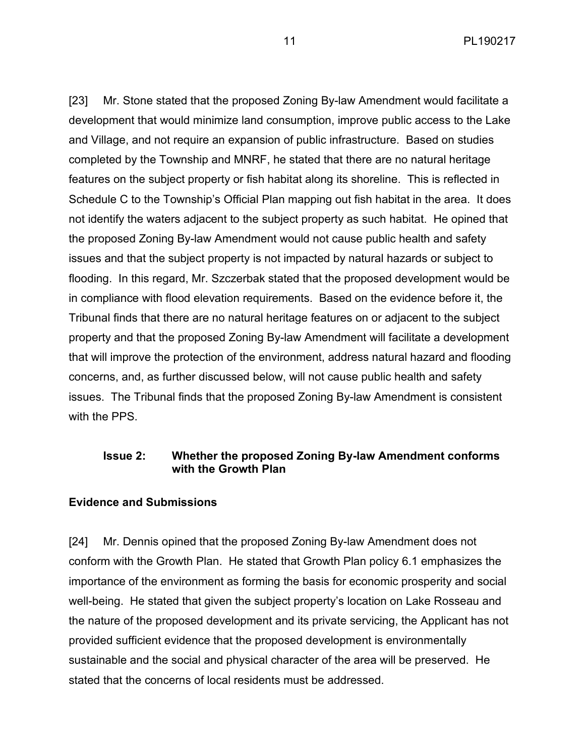11 PL190217

[23] Mr. Stone stated that the proposed Zoning By-law Amendment would facilitate a development that would minimize land consumption, improve public access to the Lake and Village, and not require an expansion of public infrastructure. Based on studies completed by the Township and MNRF, he stated that there are no natural heritage features on the subject property or fish habitat along its shoreline. This is reflected in Schedule C to the Township's Official Plan mapping out fish habitat in the area. It does not identify the waters adjacent to the subject property as such habitat. He opined that the proposed Zoning By-law Amendment would not cause public health and safety issues and that the subject property is not impacted by natural hazards or subject to flooding. In this regard, Mr. Szczerbak stated that the proposed development would be in compliance with flood elevation requirements. Based on the evidence before it, the Tribunal finds that there are no natural heritage features on or adjacent to the subject property and that the proposed Zoning By-law Amendment will facilitate a development that will improve the protection of the environment, address natural hazard and flooding concerns, and, as further discussed below, will not cause public health and safety issues. The Tribunal finds that the proposed Zoning By-law Amendment is consistent with the PPS

### **Issue 2: Whether the proposed Zoning By-law Amendment conforms with the Growth Plan**

### **Evidence and Submissions**

[24] Mr. Dennis opined that the proposed Zoning By-law Amendment does not conform with the Growth Plan. He stated that Growth Plan policy 6.1 emphasizes the importance of the environment as forming the basis for economic prosperity and social well-being. He stated that given the subject property's location on Lake Rosseau and the nature of the proposed development and its private servicing, the Applicant has not provided sufficient evidence that the proposed development is environmentally sustainable and the social and physical character of the area will be preserved. He stated that the concerns of local residents must be addressed.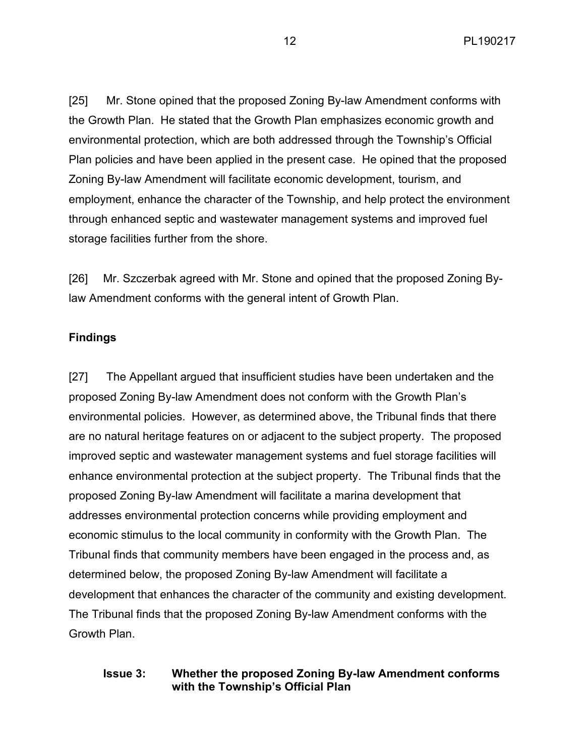[25] Mr. Stone opined that the proposed Zoning By-law Amendment conforms with the Growth Plan. He stated that the Growth Plan emphasizes economic growth and environmental protection, which are both addressed through the Township's Official Plan policies and have been applied in the present case. He opined that the proposed Zoning By-law Amendment will facilitate economic development, tourism, and employment, enhance the character of the Township, and help protect the environment through enhanced septic and wastewater management systems and improved fuel storage facilities further from the shore.

[26] Mr. Szczerbak agreed with Mr. Stone and opined that the proposed Zoning Bylaw Amendment conforms with the general intent of Growth Plan.

# **Findings**

[27] The Appellant argued that insufficient studies have been undertaken and the proposed Zoning By-law Amendment does not conform with the Growth Plan's environmental policies. However, as determined above, the Tribunal finds that there are no natural heritage features on or adjacent to the subject property. The proposed improved septic and wastewater management systems and fuel storage facilities will enhance environmental protection at the subject property. The Tribunal finds that the proposed Zoning By-law Amendment will facilitate a marina development that addresses environmental protection concerns while providing employment and economic stimulus to the local community in conformity with the Growth Plan. The Tribunal finds that community members have been engaged in the process and, as determined below, the proposed Zoning By-law Amendment will facilitate a development that enhances the character of the community and existing development. The Tribunal finds that the proposed Zoning By-law Amendment conforms with the Growth Plan.

# **Issue 3: Whether the proposed Zoning By-law Amendment conforms with the Township's Official Plan**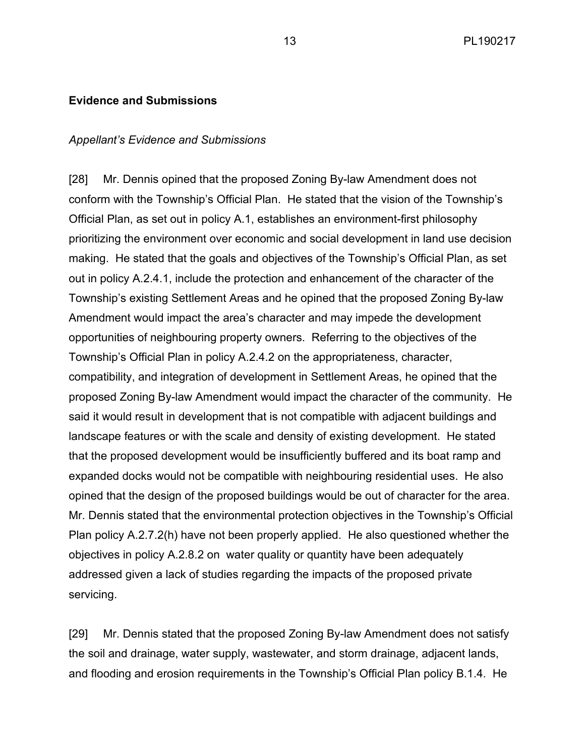#### **Evidence and Submissions**

#### *Appellant's Evidence and Submissions*

[28] Mr. Dennis opined that the proposed Zoning By-law Amendment does not conform with the Township's Official Plan. He stated that the vision of the Township's Official Plan, as set out in policy A.1, establishes an environment-first philosophy prioritizing the environment over economic and social development in land use decision making. He stated that the goals and objectives of the Township's Official Plan, as set out in policy A.2.4.1, include the protection and enhancement of the character of the Township's existing Settlement Areas and he opined that the proposed Zoning By-law Amendment would impact the area's character and may impede the development opportunities of neighbouring property owners. Referring to the objectives of the Township's Official Plan in policy A.2.4.2 on the appropriateness, character, compatibility, and integration of development in Settlement Areas, he opined that the proposed Zoning By-law Amendment would impact the character of the community. He said it would result in development that is not compatible with adjacent buildings and landscape features or with the scale and density of existing development. He stated that the proposed development would be insufficiently buffered and its boat ramp and expanded docks would not be compatible with neighbouring residential uses. He also opined that the design of the proposed buildings would be out of character for the area. Mr. Dennis stated that the environmental protection objectives in the Township's Official Plan policy A.2.7.2(h) have not been properly applied. He also questioned whether the objectives in policy A.2.8.2 on water quality or quantity have been adequately addressed given a lack of studies regarding the impacts of the proposed private servicing.

[29] Mr. Dennis stated that the proposed Zoning By-law Amendment does not satisfy the soil and drainage, water supply, wastewater, and storm drainage, adjacent lands, and flooding and erosion requirements in the Township's Official Plan policy B.1.4. He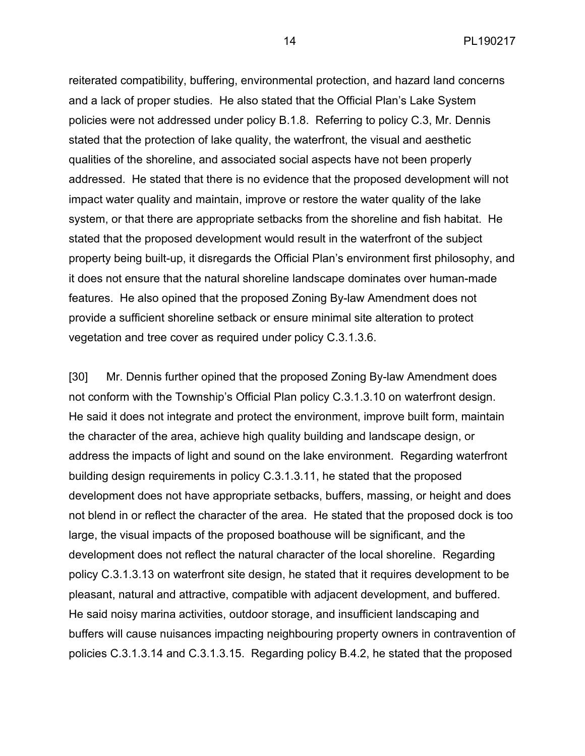reiterated compatibility, buffering, environmental protection, and hazard land concerns and a lack of proper studies. He also stated that the Official Plan's Lake System policies were not addressed under policy B.1.8. Referring to policy C.3, Mr. Dennis stated that the protection of lake quality, the waterfront, the visual and aesthetic qualities of the shoreline, and associated social aspects have not been properly addressed. He stated that there is no evidence that the proposed development will not impact water quality and maintain, improve or restore the water quality of the lake system, or that there are appropriate setbacks from the shoreline and fish habitat. He stated that the proposed development would result in the waterfront of the subject property being built-up, it disregards the Official Plan's environment first philosophy, and it does not ensure that the natural shoreline landscape dominates over human-made features. He also opined that the proposed Zoning By-law Amendment does not provide a sufficient shoreline setback or ensure minimal site alteration to protect vegetation and tree cover as required under policy C.3.1.3.6.

[30] Mr. Dennis further opined that the proposed Zoning By-law Amendment does not conform with the Township's Official Plan policy C.3.1.3.10 on waterfront design. He said it does not integrate and protect the environment, improve built form, maintain the character of the area, achieve high quality building and landscape design, or address the impacts of light and sound on the lake environment. Regarding waterfront building design requirements in policy C.3.1.3.11, he stated that the proposed development does not have appropriate setbacks, buffers, massing, or height and does not blend in or reflect the character of the area. He stated that the proposed dock is too large, the visual impacts of the proposed boathouse will be significant, and the development does not reflect the natural character of the local shoreline. Regarding policy C.3.1.3.13 on waterfront site design, he stated that it requires development to be pleasant, natural and attractive, compatible with adjacent development, and buffered. He said noisy marina activities, outdoor storage, and insufficient landscaping and buffers will cause nuisances impacting neighbouring property owners in contravention of policies C.3.1.3.14 and C.3.1.3.15. Regarding policy B.4.2, he stated that the proposed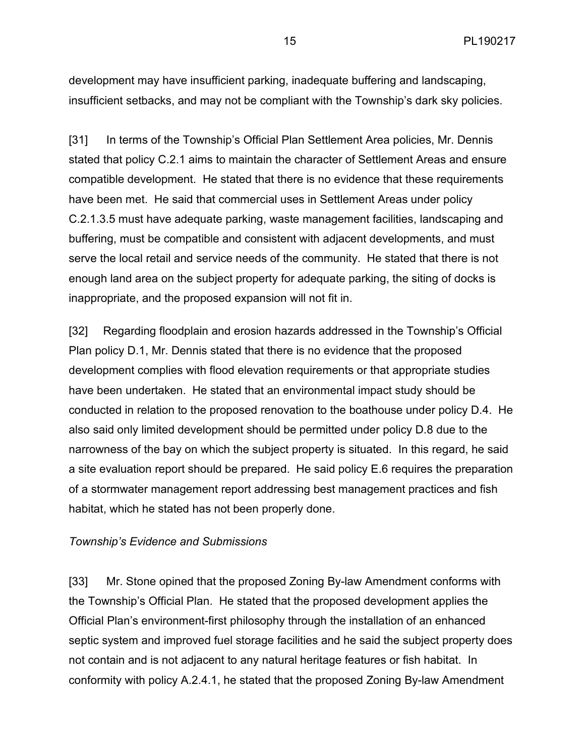development may have insufficient parking, inadequate buffering and landscaping, insufficient setbacks, and may not be compliant with the Township's dark sky policies.

[31] In terms of the Township's Official Plan Settlement Area policies, Mr. Dennis stated that policy C.2.1 aims to maintain the character of Settlement Areas and ensure compatible development. He stated that there is no evidence that these requirements have been met. He said that commercial uses in Settlement Areas under policy C.2.1.3.5 must have adequate parking, waste management facilities, landscaping and buffering, must be compatible and consistent with adjacent developments, and must serve the local retail and service needs of the community. He stated that there is not enough land area on the subject property for adequate parking, the siting of docks is inappropriate, and the proposed expansion will not fit in.

[32] Regarding floodplain and erosion hazards addressed in the Township's Official Plan policy D.1, Mr. Dennis stated that there is no evidence that the proposed development complies with flood elevation requirements or that appropriate studies have been undertaken. He stated that an environmental impact study should be conducted in relation to the proposed renovation to the boathouse under policy D.4. He also said only limited development should be permitted under policy D.8 due to the narrowness of the bay on which the subject property is situated. In this regard, he said a site evaluation report should be prepared. He said policy E.6 requires the preparation of a stormwater management report addressing best management practices and fish habitat, which he stated has not been properly done.

#### *Township's Evidence and Submissions*

[33] Mr. Stone opined that the proposed Zoning By-law Amendment conforms with the Township's Official Plan. He stated that the proposed development applies the Official Plan's environment-first philosophy through the installation of an enhanced septic system and improved fuel storage facilities and he said the subject property does not contain and is not adjacent to any natural heritage features or fish habitat. In conformity with policy A.2.4.1, he stated that the proposed Zoning By-law Amendment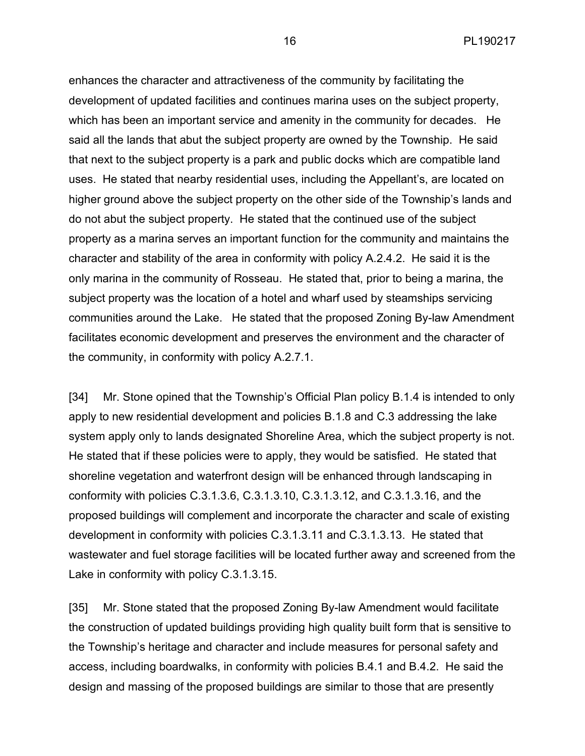enhances the character and attractiveness of the community by facilitating the development of updated facilities and continues marina uses on the subject property, which has been an important service and amenity in the community for decades. He said all the lands that abut the subject property are owned by the Township. He said that next to the subject property is a park and public docks which are compatible land uses. He stated that nearby residential uses, including the Appellant's, are located on higher ground above the subject property on the other side of the Township's lands and do not abut the subject property. He stated that the continued use of the subject property as a marina serves an important function for the community and maintains the character and stability of the area in conformity with policy A.2.4.2. He said it is the only marina in the community of Rosseau. He stated that, prior to being a marina, the subject property was the location of a hotel and wharf used by steamships servicing communities around the Lake. He stated that the proposed Zoning By-law Amendment facilitates economic development and preserves the environment and the character of the community, in conformity with policy A.2.7.1.

[34] Mr. Stone opined that the Township's Official Plan policy B.1.4 is intended to only apply to new residential development and policies B.1.8 and C.3 addressing the lake system apply only to lands designated Shoreline Area, which the subject property is not. He stated that if these policies were to apply, they would be satisfied. He stated that shoreline vegetation and waterfront design will be enhanced through landscaping in conformity with policies C.3.1.3.6, C.3.1.3.10, C.3.1.3.12, and C.3.1.3.16, and the proposed buildings will complement and incorporate the character and scale of existing development in conformity with policies C.3.1.3.11 and C.3.1.3.13. He stated that wastewater and fuel storage facilities will be located further away and screened from the Lake in conformity with policy C.3.1.3.15.

[35] Mr. Stone stated that the proposed Zoning By-law Amendment would facilitate the construction of updated buildings providing high quality built form that is sensitive to the Township's heritage and character and include measures for personal safety and access, including boardwalks, in conformity with policies B.4.1 and B.4.2. He said the design and massing of the proposed buildings are similar to those that are presently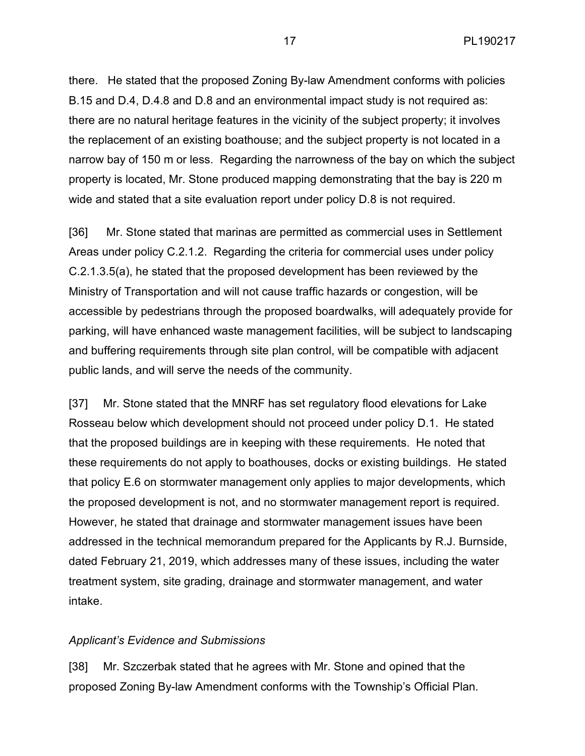there. He stated that the proposed Zoning By-law Amendment conforms with policies B.15 and D.4, D.4.8 and D.8 and an environmental impact study is not required as: there are no natural heritage features in the vicinity of the subject property; it involves the replacement of an existing boathouse; and the subject property is not located in a narrow bay of 150 m or less. Regarding the narrowness of the bay on which the subject property is located, Mr. Stone produced mapping demonstrating that the bay is 220 m wide and stated that a site evaluation report under policy D.8 is not required.

[36] Mr. Stone stated that marinas are permitted as commercial uses in Settlement Areas under policy C.2.1.2. Regarding the criteria for commercial uses under policy C.2.1.3.5(a), he stated that the proposed development has been reviewed by the Ministry of Transportation and will not cause traffic hazards or congestion, will be accessible by pedestrians through the proposed boardwalks, will adequately provide for parking, will have enhanced waste management facilities, will be subject to landscaping and buffering requirements through site plan control, will be compatible with adjacent public lands, and will serve the needs of the community.

[37] Mr. Stone stated that the MNRF has set regulatory flood elevations for Lake Rosseau below which development should not proceed under policy D.1. He stated that the proposed buildings are in keeping with these requirements. He noted that these requirements do not apply to boathouses, docks or existing buildings. He stated that policy E.6 on stormwater management only applies to major developments, which the proposed development is not, and no stormwater management report is required. However, he stated that drainage and stormwater management issues have been addressed in the technical memorandum prepared for the Applicants by R.J. Burnside, dated February 21, 2019, which addresses many of these issues, including the water treatment system, site grading, drainage and stormwater management, and water intake.

### *Applicant's Evidence and Submissions*

[38] Mr. Szczerbak stated that he agrees with Mr. Stone and opined that the proposed Zoning By-law Amendment conforms with the Township's Official Plan.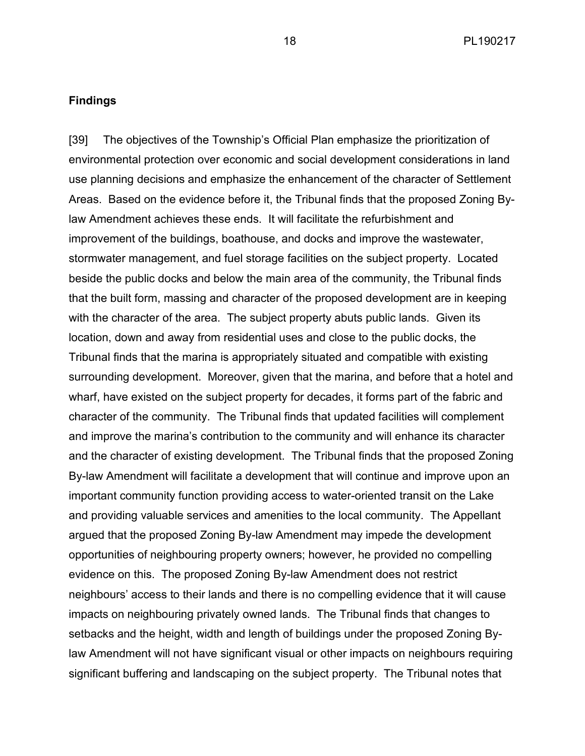### **Findings**

[39] The objectives of the Township's Official Plan emphasize the prioritization of environmental protection over economic and social development considerations in land use planning decisions and emphasize the enhancement of the character of Settlement Areas. Based on the evidence before it, the Tribunal finds that the proposed Zoning Bylaw Amendment achieves these ends. It will facilitate the refurbishment and improvement of the buildings, boathouse, and docks and improve the wastewater, stormwater management, and fuel storage facilities on the subject property. Located beside the public docks and below the main area of the community, the Tribunal finds that the built form, massing and character of the proposed development are in keeping with the character of the area. The subject property abuts public lands. Given its location, down and away from residential uses and close to the public docks, the Tribunal finds that the marina is appropriately situated and compatible with existing surrounding development. Moreover, given that the marina, and before that a hotel and wharf, have existed on the subject property for decades, it forms part of the fabric and character of the community. The Tribunal finds that updated facilities will complement and improve the marina's contribution to the community and will enhance its character and the character of existing development. The Tribunal finds that the proposed Zoning By-law Amendment will facilitate a development that will continue and improve upon an important community function providing access to water-oriented transit on the Lake and providing valuable services and amenities to the local community. The Appellant argued that the proposed Zoning By-law Amendment may impede the development opportunities of neighbouring property owners; however, he provided no compelling evidence on this. The proposed Zoning By-law Amendment does not restrict neighbours' access to their lands and there is no compelling evidence that it will cause impacts on neighbouring privately owned lands. The Tribunal finds that changes to setbacks and the height, width and length of buildings under the proposed Zoning Bylaw Amendment will not have significant visual or other impacts on neighbours requiring significant buffering and landscaping on the subject property. The Tribunal notes that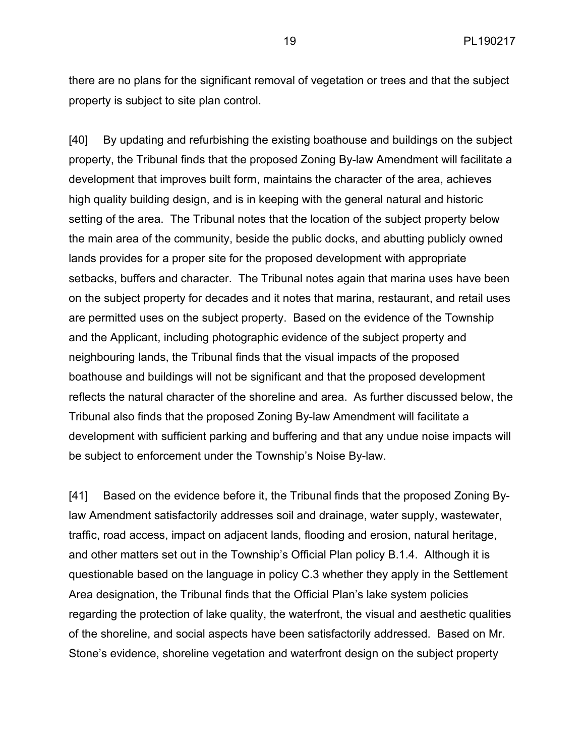there are no plans for the significant removal of vegetation or trees and that the subject property is subject to site plan control.

[40] By updating and refurbishing the existing boathouse and buildings on the subject property, the Tribunal finds that the proposed Zoning By-law Amendment will facilitate a development that improves built form, maintains the character of the area, achieves high quality building design, and is in keeping with the general natural and historic setting of the area. The Tribunal notes that the location of the subject property below the main area of the community, beside the public docks, and abutting publicly owned lands provides for a proper site for the proposed development with appropriate setbacks, buffers and character. The Tribunal notes again that marina uses have been on the subject property for decades and it notes that marina, restaurant, and retail uses are permitted uses on the subject property. Based on the evidence of the Township and the Applicant, including photographic evidence of the subject property and neighbouring lands, the Tribunal finds that the visual impacts of the proposed boathouse and buildings will not be significant and that the proposed development reflects the natural character of the shoreline and area. As further discussed below, the Tribunal also finds that the proposed Zoning By-law Amendment will facilitate a development with sufficient parking and buffering and that any undue noise impacts will be subject to enforcement under the Township's Noise By-law.

[41] Based on the evidence before it, the Tribunal finds that the proposed Zoning Bylaw Amendment satisfactorily addresses soil and drainage, water supply, wastewater, traffic, road access, impact on adjacent lands, flooding and erosion, natural heritage, and other matters set out in the Township's Official Plan policy B.1.4. Although it is questionable based on the language in policy C.3 whether they apply in the Settlement Area designation, the Tribunal finds that the Official Plan's lake system policies regarding the protection of lake quality, the waterfront, the visual and aesthetic qualities of the shoreline, and social aspects have been satisfactorily addressed. Based on Mr. Stone's evidence, shoreline vegetation and waterfront design on the subject property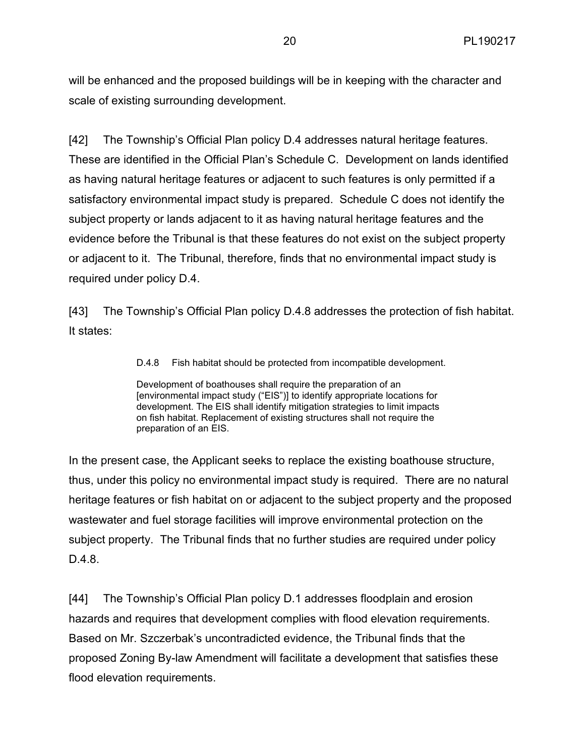will be enhanced and the proposed buildings will be in keeping with the character and scale of existing surrounding development.

[42] The Township's Official Plan policy D.4 addresses natural heritage features. These are identified in the Official Plan's Schedule C. Development on lands identified as having natural heritage features or adjacent to such features is only permitted if a satisfactory environmental impact study is prepared. Schedule C does not identify the subject property or lands adjacent to it as having natural heritage features and the evidence before the Tribunal is that these features do not exist on the subject property or adjacent to it. The Tribunal, therefore, finds that no environmental impact study is required under policy D.4.

[43] The Township's Official Plan policy D.4.8 addresses the protection of fish habitat. It states:

D.4.8 Fish habitat should be protected from incompatible development.

Development of boathouses shall require the preparation of an [environmental impact study ("EIS")] to identify appropriate locations for development. The EIS shall identify mitigation strategies to limit impacts on fish habitat. Replacement of existing structures shall not require the preparation of an EIS.

In the present case, the Applicant seeks to replace the existing boathouse structure, thus, under this policy no environmental impact study is required. There are no natural heritage features or fish habitat on or adjacent to the subject property and the proposed wastewater and fuel storage facilities will improve environmental protection on the subject property. The Tribunal finds that no further studies are required under policy D.4.8.

[44] The Township's Official Plan policy D.1 addresses floodplain and erosion hazards and requires that development complies with flood elevation requirements. Based on Mr. Szczerbak's uncontradicted evidence, the Tribunal finds that the proposed Zoning By-law Amendment will facilitate a development that satisfies these flood elevation requirements.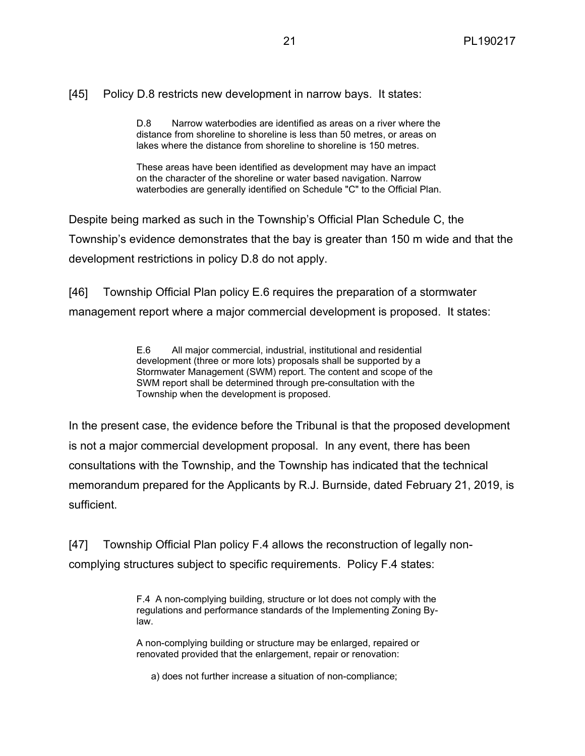### [45] Policy D.8 restricts new development in narrow bays. It states:

D.8 Narrow waterbodies are identified as areas on a river where the distance from shoreline to shoreline is less than 50 metres, or areas on lakes where the distance from shoreline to shoreline is 150 metres.

These areas have been identified as development may have an impact on the character of the shoreline or water based navigation. Narrow waterbodies are generally identified on Schedule "C" to the Official Plan.

Despite being marked as such in the Township's Official Plan Schedule C, the Township's evidence demonstrates that the bay is greater than 150 m wide and that the development restrictions in policy D.8 do not apply.

[46] Township Official Plan policy E.6 requires the preparation of a stormwater management report where a major commercial development is proposed. It states:

> E.6 All major commercial, industrial, institutional and residential development (three or more lots) proposals shall be supported by a Stormwater Management (SWM) report. The content and scope of the SWM report shall be determined through pre-consultation with the Township when the development is proposed.

In the present case, the evidence before the Tribunal is that the proposed development is not a major commercial development proposal. In any event, there has been consultations with the Township, and the Township has indicated that the technical memorandum prepared for the Applicants by R.J. Burnside, dated February 21, 2019, is sufficient.

[47] Township Official Plan policy F.4 allows the reconstruction of legally noncomplying structures subject to specific requirements. Policy F.4 states:

> F.4 A non-complying building, structure or lot does not comply with the regulations and performance standards of the Implementing Zoning Bylaw.

A non-complying building or structure may be enlarged, repaired or renovated provided that the enlargement, repair or renovation:

a) does not further increase a situation of non-compliance;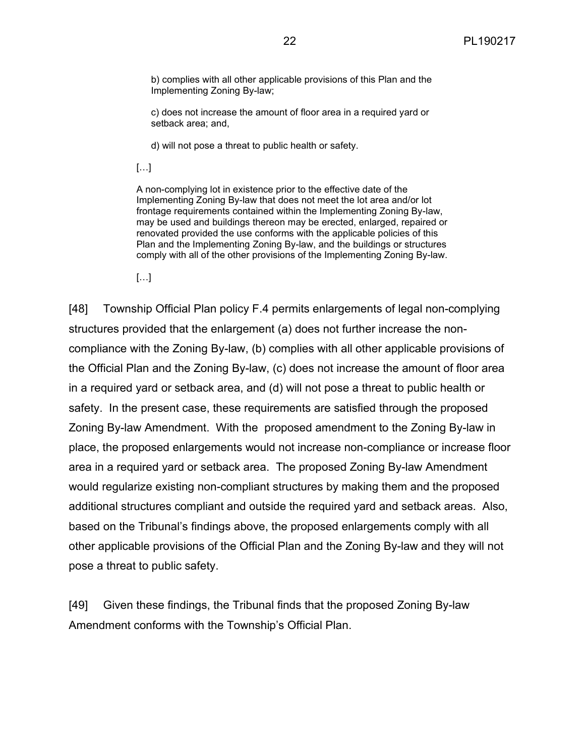b) complies with all other applicable provisions of this Plan and the Implementing Zoning By-law;

c) does not increase the amount of floor area in a required yard or setback area; and,

d) will not pose a threat to public health or safety.

[…]

A non-complying lot in existence prior to the effective date of the Implementing Zoning By-law that does not meet the lot area and/or lot frontage requirements contained within the Implementing Zoning By-law, may be used and buildings thereon may be erected, enlarged, repaired or renovated provided the use conforms with the applicable policies of this Plan and the Implementing Zoning By-law, and the buildings or structures comply with all of the other provisions of the Implementing Zoning By-law.

[…]

[48] Township Official Plan policy F.4 permits enlargements of legal non-complying structures provided that the enlargement (a) does not further increase the noncompliance with the Zoning By-law, (b) complies with all other applicable provisions of the Official Plan and the Zoning By-law, (c) does not increase the amount of floor area in a required yard or setback area, and (d) will not pose a threat to public health or safety. In the present case, these requirements are satisfied through the proposed Zoning By-law Amendment. With the proposed amendment to the Zoning By-law in place, the proposed enlargements would not increase non-compliance or increase floor area in a required yard or setback area. The proposed Zoning By-law Amendment would regularize existing non-compliant structures by making them and the proposed additional structures compliant and outside the required yard and setback areas. Also, based on the Tribunal's findings above, the proposed enlargements comply with all other applicable provisions of the Official Plan and the Zoning By-law and they will not pose a threat to public safety.

[49] Given these findings, the Tribunal finds that the proposed Zoning By-law Amendment conforms with the Township's Official Plan.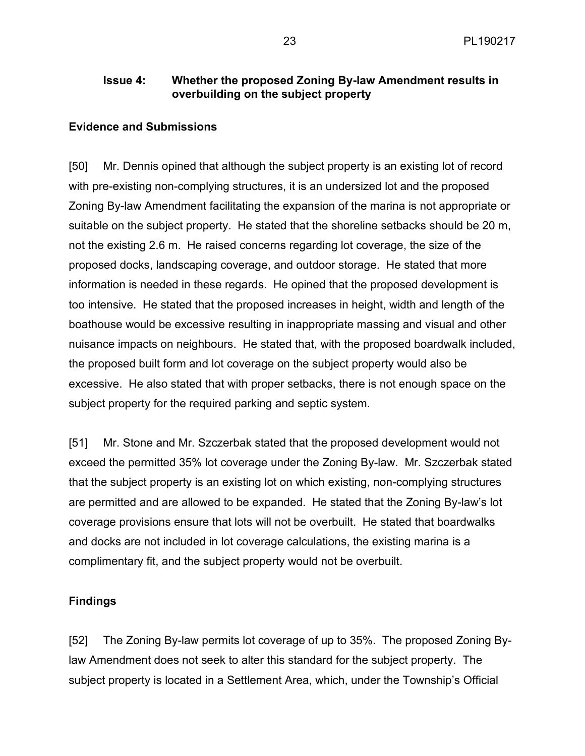# **Issue 4: Whether the proposed Zoning By-law Amendment results in overbuilding on the subject property**

#### **Evidence and Submissions**

[50] Mr. Dennis opined that although the subject property is an existing lot of record with pre-existing non-complying structures, it is an undersized lot and the proposed Zoning By-law Amendment facilitating the expansion of the marina is not appropriate or suitable on the subject property. He stated that the shoreline setbacks should be 20 m, not the existing 2.6 m. He raised concerns regarding lot coverage, the size of the proposed docks, landscaping coverage, and outdoor storage. He stated that more information is needed in these regards. He opined that the proposed development is too intensive. He stated that the proposed increases in height, width and length of the boathouse would be excessive resulting in inappropriate massing and visual and other nuisance impacts on neighbours. He stated that, with the proposed boardwalk included, the proposed built form and lot coverage on the subject property would also be excessive. He also stated that with proper setbacks, there is not enough space on the subject property for the required parking and septic system.

[51] Mr. Stone and Mr. Szczerbak stated that the proposed development would not exceed the permitted 35% lot coverage under the Zoning By-law. Mr. Szczerbak stated that the subject property is an existing lot on which existing, non-complying structures are permitted and are allowed to be expanded. He stated that the Zoning By-law's lot coverage provisions ensure that lots will not be overbuilt. He stated that boardwalks and docks are not included in lot coverage calculations, the existing marina is a complimentary fit, and the subject property would not be overbuilt.

#### **Findings**

[52] The Zoning By-law permits lot coverage of up to 35%. The proposed Zoning Bylaw Amendment does not seek to alter this standard for the subject property. The subject property is located in a Settlement Area, which, under the Township's Official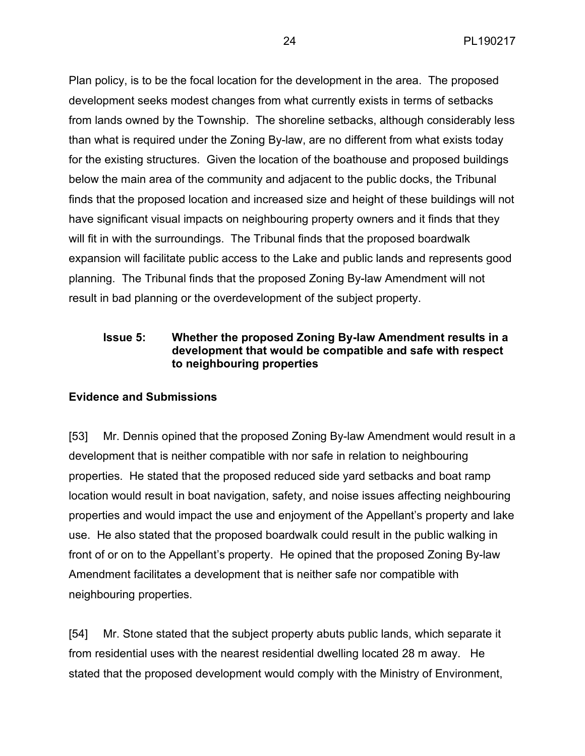Plan policy, is to be the focal location for the development in the area. The proposed development seeks modest changes from what currently exists in terms of setbacks from lands owned by the Township. The shoreline setbacks, although considerably less than what is required under the Zoning By-law, are no different from what exists today for the existing structures. Given the location of the boathouse and proposed buildings below the main area of the community and adjacent to the public docks, the Tribunal finds that the proposed location and increased size and height of these buildings will not have significant visual impacts on neighbouring property owners and it finds that they will fit in with the surroundings. The Tribunal finds that the proposed boardwalk expansion will facilitate public access to the Lake and public lands and represents good planning. The Tribunal finds that the proposed Zoning By-law Amendment will not result in bad planning or the overdevelopment of the subject property.

### **Issue 5: Whether the proposed Zoning By-law Amendment results in a development that would be compatible and safe with respect to neighbouring properties**

### **Evidence and Submissions**

[53] Mr. Dennis opined that the proposed Zoning By-law Amendment would result in a development that is neither compatible with nor safe in relation to neighbouring properties. He stated that the proposed reduced side yard setbacks and boat ramp location would result in boat navigation, safety, and noise issues affecting neighbouring properties and would impact the use and enjoyment of the Appellant's property and lake use. He also stated that the proposed boardwalk could result in the public walking in front of or on to the Appellant's property. He opined that the proposed Zoning By-law Amendment facilitates a development that is neither safe nor compatible with neighbouring properties.

[54] Mr. Stone stated that the subject property abuts public lands, which separate it from residential uses with the nearest residential dwelling located 28 m away. He stated that the proposed development would comply with the Ministry of Environment,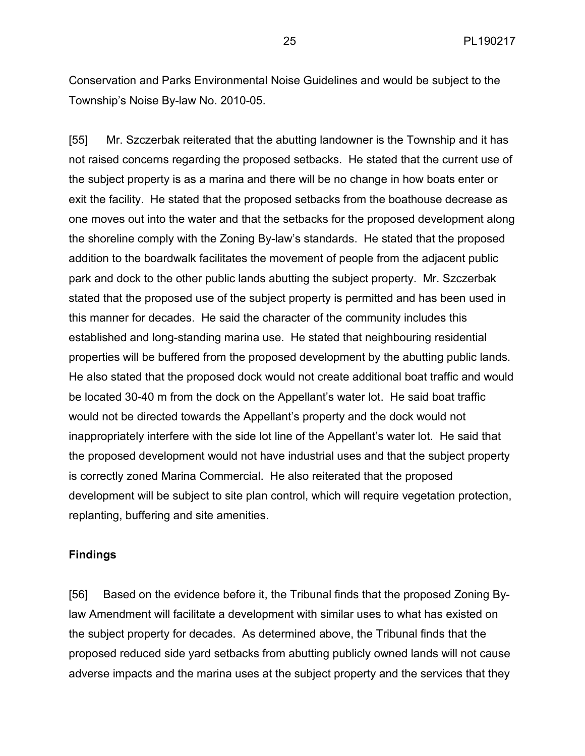Conservation and Parks Environmental Noise Guidelines and would be subject to the Township's Noise By-law No. 2010-05.

[55] Mr. Szczerbak reiterated that the abutting landowner is the Township and it has not raised concerns regarding the proposed setbacks. He stated that the current use of the subject property is as a marina and there will be no change in how boats enter or exit the facility. He stated that the proposed setbacks from the boathouse decrease as one moves out into the water and that the setbacks for the proposed development along the shoreline comply with the Zoning By-law's standards. He stated that the proposed addition to the boardwalk facilitates the movement of people from the adjacent public park and dock to the other public lands abutting the subject property. Mr. Szczerbak stated that the proposed use of the subject property is permitted and has been used in this manner for decades. He said the character of the community includes this established and long-standing marina use. He stated that neighbouring residential properties will be buffered from the proposed development by the abutting public lands. He also stated that the proposed dock would not create additional boat traffic and would be located 30-40 m from the dock on the Appellant's water lot. He said boat traffic would not be directed towards the Appellant's property and the dock would not inappropriately interfere with the side lot line of the Appellant's water lot. He said that the proposed development would not have industrial uses and that the subject property is correctly zoned Marina Commercial. He also reiterated that the proposed development will be subject to site plan control, which will require vegetation protection, replanting, buffering and site amenities.

#### **Findings**

[56] Based on the evidence before it, the Tribunal finds that the proposed Zoning Bylaw Amendment will facilitate a development with similar uses to what has existed on the subject property for decades. As determined above, the Tribunal finds that the proposed reduced side yard setbacks from abutting publicly owned lands will not cause adverse impacts and the marina uses at the subject property and the services that they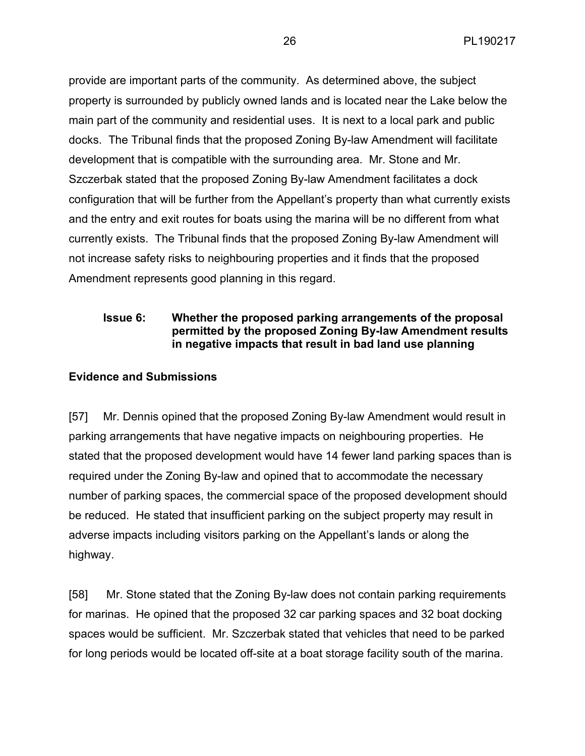provide are important parts of the community. As determined above, the subject property is surrounded by publicly owned lands and is located near the Lake below the main part of the community and residential uses. It is next to a local park and public docks. The Tribunal finds that the proposed Zoning By-law Amendment will facilitate development that is compatible with the surrounding area. Mr. Stone and Mr. Szczerbak stated that the proposed Zoning By-law Amendment facilitates a dock configuration that will be further from the Appellant's property than what currently exists and the entry and exit routes for boats using the marina will be no different from what currently exists. The Tribunal finds that the proposed Zoning By-law Amendment will not increase safety risks to neighbouring properties and it finds that the proposed Amendment represents good planning in this regard.

# **Issue 6: Whether the proposed parking arrangements of the proposal permitted by the proposed Zoning By-law Amendment results in negative impacts that result in bad land use planning**

# **Evidence and Submissions**

[57] Mr. Dennis opined that the proposed Zoning By-law Amendment would result in parking arrangements that have negative impacts on neighbouring properties. He stated that the proposed development would have 14 fewer land parking spaces than is required under the Zoning By-law and opined that to accommodate the necessary number of parking spaces, the commercial space of the proposed development should be reduced. He stated that insufficient parking on the subject property may result in adverse impacts including visitors parking on the Appellant's lands or along the highway.

[58] Mr. Stone stated that the Zoning By-law does not contain parking requirements for marinas. He opined that the proposed 32 car parking spaces and 32 boat docking spaces would be sufficient. Mr. Szczerbak stated that vehicles that need to be parked for long periods would be located off-site at a boat storage facility south of the marina.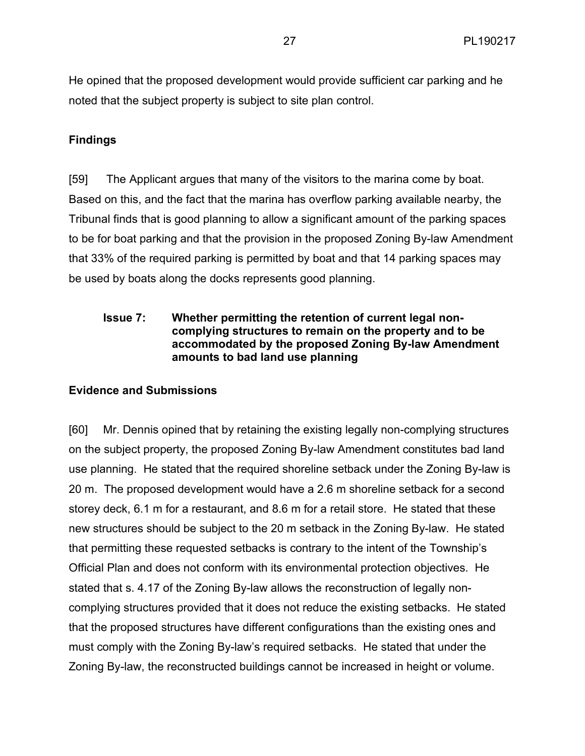He opined that the proposed development would provide sufficient car parking and he noted that the subject property is subject to site plan control.

# **Findings**

[59] The Applicant argues that many of the visitors to the marina come by boat. Based on this, and the fact that the marina has overflow parking available nearby, the Tribunal finds that is good planning to allow a significant amount of the parking spaces to be for boat parking and that the provision in the proposed Zoning By-law Amendment that 33% of the required parking is permitted by boat and that 14 parking spaces may be used by boats along the docks represents good planning.

# **Issue 7: Whether permitting the retention of current legal noncomplying structures to remain on the property and to be accommodated by the proposed Zoning By-law Amendment amounts to bad land use planning**

### **Evidence and Submissions**

[60] Mr. Dennis opined that by retaining the existing legally non-complying structures on the subject property, the proposed Zoning By-law Amendment constitutes bad land use planning. He stated that the required shoreline setback under the Zoning By-law is 20 m. The proposed development would have a 2.6 m shoreline setback for a second storey deck, 6.1 m for a restaurant, and 8.6 m for a retail store. He stated that these new structures should be subject to the 20 m setback in the Zoning By-law. He stated that permitting these requested setbacks is contrary to the intent of the Township's Official Plan and does not conform with its environmental protection objectives. He stated that s. 4.17 of the Zoning By-law allows the reconstruction of legally noncomplying structures provided that it does not reduce the existing setbacks. He stated that the proposed structures have different configurations than the existing ones and must comply with the Zoning By-law's required setbacks. He stated that under the Zoning By-law, the reconstructed buildings cannot be increased in height or volume.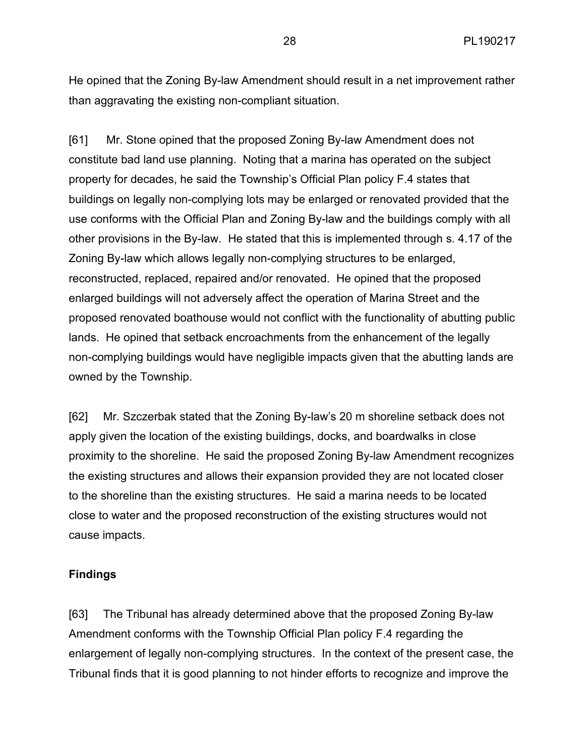He opined that the Zoning By-law Amendment should result in a net improvement rather than aggravating the existing non-compliant situation.

[61] Mr. Stone opined that the proposed Zoning By-law Amendment does not constitute bad land use planning. Noting that a marina has operated on the subject property for decades, he said the Township's Official Plan policy F.4 states that buildings on legally non-complying lots may be enlarged or renovated provided that the use conforms with the Official Plan and Zoning By-law and the buildings comply with all other provisions in the By-law. He stated that this is implemented through s. 4.17 of the Zoning By-law which allows legally non-complying structures to be enlarged, reconstructed, replaced, repaired and/or renovated. He opined that the proposed enlarged buildings will not adversely affect the operation of Marina Street and the proposed renovated boathouse would not conflict with the functionality of abutting public lands. He opined that setback encroachments from the enhancement of the legally non-complying buildings would have negligible impacts given that the abutting lands are owned by the Township.

[62] Mr. Szczerbak stated that the Zoning By-law's 20 m shoreline setback does not apply given the location of the existing buildings, docks, and boardwalks in close proximity to the shoreline. He said the proposed Zoning By-law Amendment recognizes the existing structures and allows their expansion provided they are not located closer to the shoreline than the existing structures. He said a marina needs to be located close to water and the proposed reconstruction of the existing structures would not cause impacts.

#### **Findings**

[63] The Tribunal has already determined above that the proposed Zoning By-law Amendment conforms with the Township Official Plan policy F.4 regarding the enlargement of legally non-complying structures. In the context of the present case, the Tribunal finds that it is good planning to not hinder efforts to recognize and improve the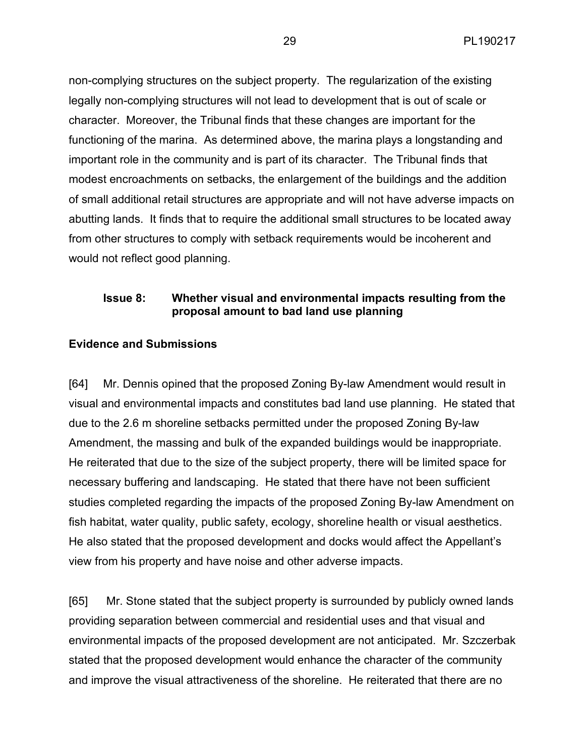non-complying structures on the subject property. The regularization of the existing legally non-complying structures will not lead to development that is out of scale or character. Moreover, the Tribunal finds that these changes are important for the functioning of the marina. As determined above, the marina plays a longstanding and important role in the community and is part of its character. The Tribunal finds that modest encroachments on setbacks, the enlargement of the buildings and the addition of small additional retail structures are appropriate and will not have adverse impacts on abutting lands. It finds that to require the additional small structures to be located away from other structures to comply with setback requirements would be incoherent and would not reflect good planning.

### **Issue 8: Whether visual and environmental impacts resulting from the proposal amount to bad land use planning**

#### **Evidence and Submissions**

[64] Mr. Dennis opined that the proposed Zoning By-law Amendment would result in visual and environmental impacts and constitutes bad land use planning. He stated that due to the 2.6 m shoreline setbacks permitted under the proposed Zoning By-law Amendment, the massing and bulk of the expanded buildings would be inappropriate. He reiterated that due to the size of the subject property, there will be limited space for necessary buffering and landscaping. He stated that there have not been sufficient studies completed regarding the impacts of the proposed Zoning By-law Amendment on fish habitat, water quality, public safety, ecology, shoreline health or visual aesthetics. He also stated that the proposed development and docks would affect the Appellant's view from his property and have noise and other adverse impacts.

[65] Mr. Stone stated that the subject property is surrounded by publicly owned lands providing separation between commercial and residential uses and that visual and environmental impacts of the proposed development are not anticipated. Mr. Szczerbak stated that the proposed development would enhance the character of the community and improve the visual attractiveness of the shoreline. He reiterated that there are no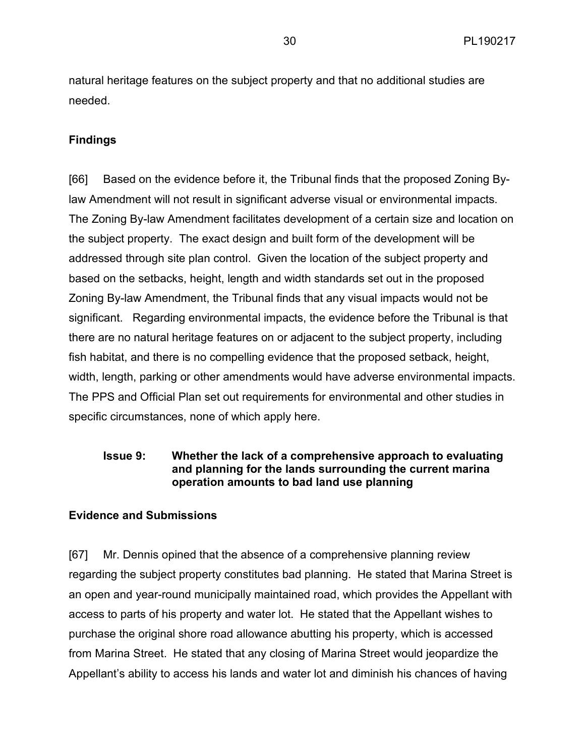natural heritage features on the subject property and that no additional studies are needed.

# **Findings**

[66] Based on the evidence before it, the Tribunal finds that the proposed Zoning Bylaw Amendment will not result in significant adverse visual or environmental impacts. The Zoning By-law Amendment facilitates development of a certain size and location on the subject property. The exact design and built form of the development will be addressed through site plan control. Given the location of the subject property and based on the setbacks, height, length and width standards set out in the proposed Zoning By-law Amendment, the Tribunal finds that any visual impacts would not be significant. Regarding environmental impacts, the evidence before the Tribunal is that there are no natural heritage features on or adjacent to the subject property, including fish habitat, and there is no compelling evidence that the proposed setback, height, width, length, parking or other amendments would have adverse environmental impacts. The PPS and Official Plan set out requirements for environmental and other studies in specific circumstances, none of which apply here.

# **Issue 9: Whether the lack of a comprehensive approach to evaluating and planning for the lands surrounding the current marina operation amounts to bad land use planning**

# **Evidence and Submissions**

[67] Mr. Dennis opined that the absence of a comprehensive planning review regarding the subject property constitutes bad planning. He stated that Marina Street is an open and year-round municipally maintained road, which provides the Appellant with access to parts of his property and water lot. He stated that the Appellant wishes to purchase the original shore road allowance abutting his property, which is accessed from Marina Street. He stated that any closing of Marina Street would jeopardize the Appellant's ability to access his lands and water lot and diminish his chances of having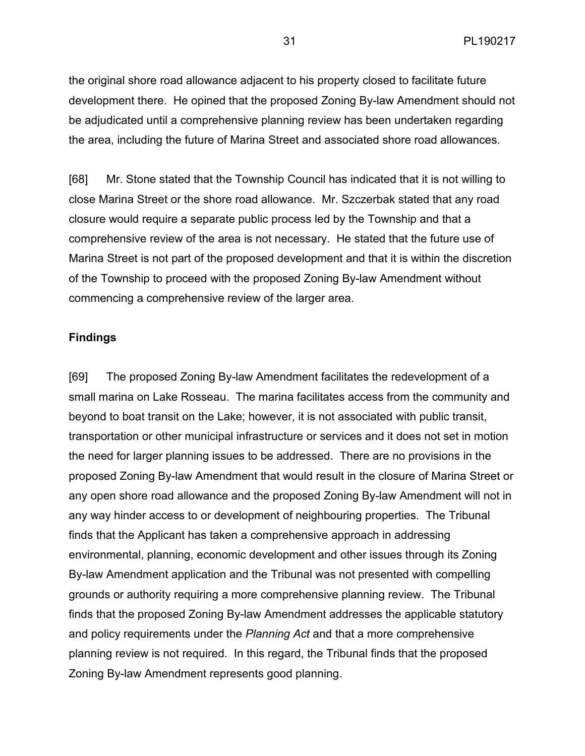the original shore road allowance adjacent to his property closed to facilitate future development there. He opined that the proposed Zoning By-law Amendment should not be adjudicated until a comprehensive planning review has been undertaken regarding the area, including the future of Marina Street and associated shore road allowances.

[68] Mr. Stone stated that the Township Council has indicated that it is not willing to close Marina Street or the shore road allowance. Mr. Szczerbak stated that any road closure would require a separate public process led by the Township and that a comprehensive review of the area is not necessary. He stated that the future use of Marina Street is not part of the proposed development and that it is within the discretion of the Township to proceed with the proposed Zoning By-law Amendment without commencing a comprehensive review of the larger area.

#### **Findings**

[69] The proposed Zoning By-law Amendment facilitates the redevelopment of a small marina on Lake Rosseau. The marina facilitates access from the community and beyond to boat transit on the Lake; however, it is not associated with public transit, transportation or other municipal infrastructure or services and it does not set in motion the need for larger planning issues to be addressed. There are no provisions in the proposed Zoning By-law Amendment that would result in the closure of Marina Street or any open shore road allowance and the proposed Zoning By-law Amendment will not in any way hinder access to or development of neighbouring properties. The Tribunal finds that the Applicant has taken a comprehensive approach in addressing environmental, planning, economic development and other issues through its Zoning By-law Amendment application and the Tribunal was not presented with compelling grounds or authority requiring a more comprehensive planning review. The Tribunal finds that the proposed Zoning By-law Amendment addresses the applicable statutory and policy requirements under the *Planning Act* and that a more comprehensive planning review is not required. In this regard, the Tribunal finds that the proposed Zoning By-law Amendment represents good planning.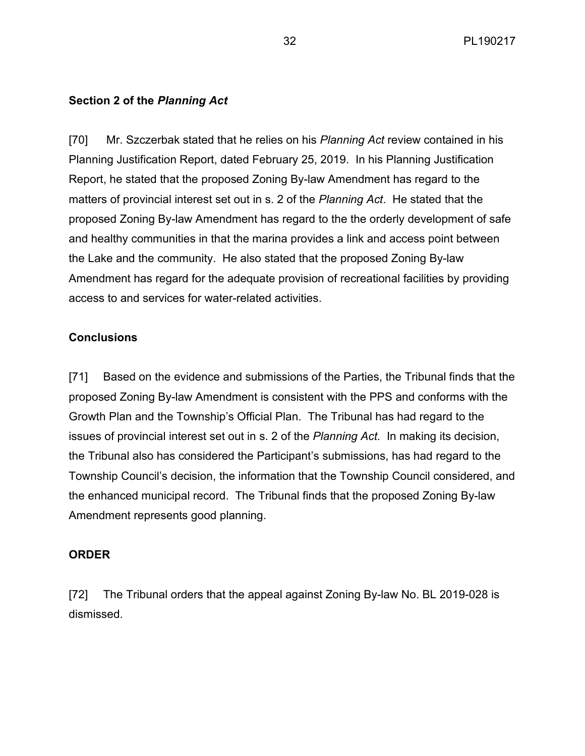# **Section 2 of the** *Planning Act*

[70] Mr. Szczerbak stated that he relies on his *Planning Act* review contained in his Planning Justification Report, dated February 25, 2019. In his Planning Justification Report, he stated that the proposed Zoning By-law Amendment has regard to the matters of provincial interest set out in s. 2 of the *Planning Act*. He stated that the proposed Zoning By-law Amendment has regard to the the orderly development of safe and healthy communities in that the marina provides a link and access point between the Lake and the community. He also stated that the proposed Zoning By-law Amendment has regard for the adequate provision of recreational facilities by providing access to and services for water-related activities.

# **Conclusions**

[71] Based on the evidence and submissions of the Parties, the Tribunal finds that the proposed Zoning By-law Amendment is consistent with the PPS and conforms with the Growth Plan and the Township's Official Plan. The Tribunal has had regard to the issues of provincial interest set out in s. 2 of the *Planning Act*. In making its decision, the Tribunal also has considered the Participant's submissions, has had regard to the Township Council's decision, the information that the Township Council considered, and the enhanced municipal record. The Tribunal finds that the proposed Zoning By-law Amendment represents good planning.

# **ORDER**

[72] The Tribunal orders that the appeal against Zoning By-law No. BL 2019-028 is dismissed.